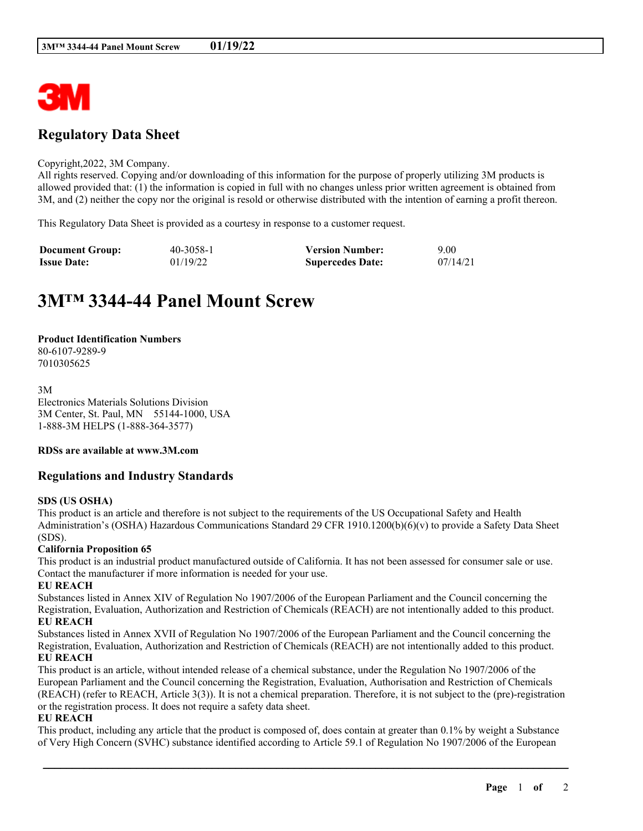

# **Regulatory Data Sheet**

#### Copyright,2022, 3M Company.

All rights reserved. Copying and/or downloading of this information for the purpose of properly utilizing 3M products is allowed provided that: (1) the information is copied in full with no changes unless prior written agreement is obtained from 3M, and (2) neither the copy nor the original is resold or otherwise distributed with the intention of earning a profit thereon.

This Regulatory Data Sheet is provided as a courtesy in response to a customer request.

| <b>Document Group:</b> | 40-3058-1 | <b>Version Number:</b>  | 9.00     |
|------------------------|-----------|-------------------------|----------|
| <b>Issue Date:</b>     | 01/19/22  | <b>Supercedes Date:</b> | 07/14/21 |

# **3M™ 3344-44 Panel Mount Screw**

#### **Product Identification Numbers**

80-6107-9289-9 7010305625

3M Electronics Materials Solutions Division 3M Center, St. Paul, MN 55144-1000, USA 1-888-3M HELPS (1-888-364-3577)

#### **RDSs are available at www.3M.com**

## **Regulations and Industry Standards**

#### **SDS (US OSHA)**

This product is an article and therefore is not subject to the requirements of the US Occupational Safety and Health Administration's (OSHA) Hazardous Communications Standard 29 CFR 1910.1200(b)(6)(v) to provide a Safety Data Sheet (SDS).

#### **California Proposition 65**

This product is an industrial product manufactured outside of California. It has not been assessed for consumer sale or use. Contact the manufacturer if more information is needed for your use.

#### **EU REACH**

Substances listed in Annex XIV of Regulation No 1907/2006 of the European Parliament and the Council concerning the Registration, Evaluation, Authorization and Restriction of Chemicals (REACH) are not intentionally added to this product. **EU REACH**

Substances listed in Annex XVII of Regulation No 1907/2006 of the European Parliament and the Council concerning the Registration, Evaluation, Authorization and Restriction of Chemicals (REACH) are not intentionally added to this product. **EU REACH**

This product is an article, without intended release of a chemical substance, under the Regulation No 1907/2006 of the European Parliament and the Council concerning the Registration, Evaluation, Authorisation and Restriction of Chemicals (REACH) (refer to REACH, Article 3(3)). It is not a chemical preparation. Therefore, it is not subject to the (pre)-registration or the registration process. It does not require a safety data sheet.

#### **EU REACH**

This product, including any article that the product is composed of, does contain at greater than 0.1% by weight a Substance of Very High Concern (SVHC) substance identified according to Article 59.1 of Regulation No 1907/2006 of the European

\_\_\_\_\_\_\_\_\_\_\_\_\_\_\_\_\_\_\_\_\_\_\_\_\_\_\_\_\_\_\_\_\_\_\_\_\_\_\_\_\_\_\_\_\_\_\_\_\_\_\_\_\_\_\_\_\_\_\_\_\_\_\_\_\_\_\_\_\_\_\_\_\_\_\_\_\_\_\_\_\_\_\_\_\_\_\_\_\_\_